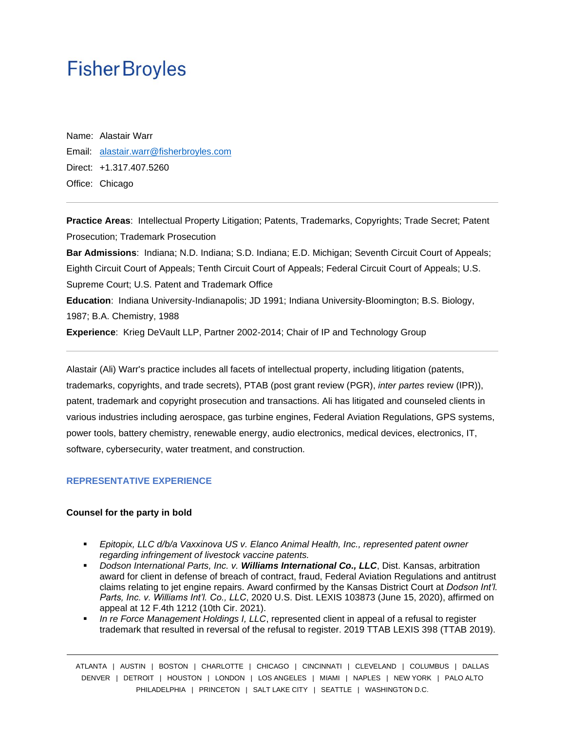# **Fisher Broyles**

Name: Alastair Warr Email: [alastair.warr@fisherbroyles.com](mailto:alastair.warr@fisherbroyles.com) Direct: +1.317.407.5260 Office: Chicago

**Practice Areas**: Intellectual Property Litigation; Patents, Trademarks, Copyrights; Trade Secret; Patent Prosecution; Trademark Prosecution **Bar Admissions**: Indiana; N.D. Indiana; S.D. Indiana; E.D. Michigan; Seventh Circuit Court of Appeals;

Eighth Circuit Court of Appeals; Tenth Circuit Court of Appeals; Federal Circuit Court of Appeals; U.S. Supreme Court; U.S. Patent and Trademark Office **Education**: Indiana University-Indianapolis; JD 1991; Indiana University-Bloomington; B.S. Biology, 1987; B.A. Chemistry, 1988

**Experience**: Krieg DeVault LLP, Partner 2002-2014; Chair of IP and Technology Group

Alastair (Ali) Warr's practice includes all facets of intellectual property, including litigation (patents, trademarks, copyrights, and trade secrets), PTAB (post grant review (PGR), *inter partes* review (IPR)), patent, trademark and copyright prosecution and transactions. Ali has litigated and counseled clients in various industries including aerospace, gas turbine engines, Federal Aviation Regulations, GPS systems, power tools, battery chemistry, renewable energy, audio electronics, medical devices, electronics, IT, software, cybersecurity, water treatment, and construction.

#### **REPRESENTATIVE EXPERIENCE**

#### **Counsel for the party in bold**

- *Epitopix, LLC d/b/a Vaxxinova US v. Elanco Animal Health, Inc., represented patent owner regarding infringement of livestock vaccine patents.*
- *Dodson International Parts, Inc. v. Williams International Co., LLC*, Dist. Kansas, arbitration award for client in defense of breach of contract, fraud, Federal Aviation Regulations and antitrust claims relating to jet engine repairs. Award confirmed by the Kansas District Court at *Dodson Int'l. Parts, Inc. v. Williams Int'l. Co., LLC*, 2020 U.S. Dist. LEXIS 103873 (June 15, 2020), affirmed on appeal at 12 F.4th 1212 (10th Cir. 2021).
- In re Force Management Holdings I, LLC, represented client in appeal of a refusal to register trademark that resulted in reversal of the refusal to register. 2019 TTAB LEXIS 398 (TTAB 2019).

ATLANTA | AUSTIN | BOSTON | CHARLOTTE | CHICAGO | CINCINNATI | CLEVELAND | COLUMBUS | DALLAS DENVER | DETROIT | HOUSTON | LONDON | LOS ANGELES | MIAMI | NAPLES | NEW YORK | PALO ALTO PHILADELPHIA | PRINCETON | SALT LAKE CITY | SEATTLE | WASHINGTON D.C.